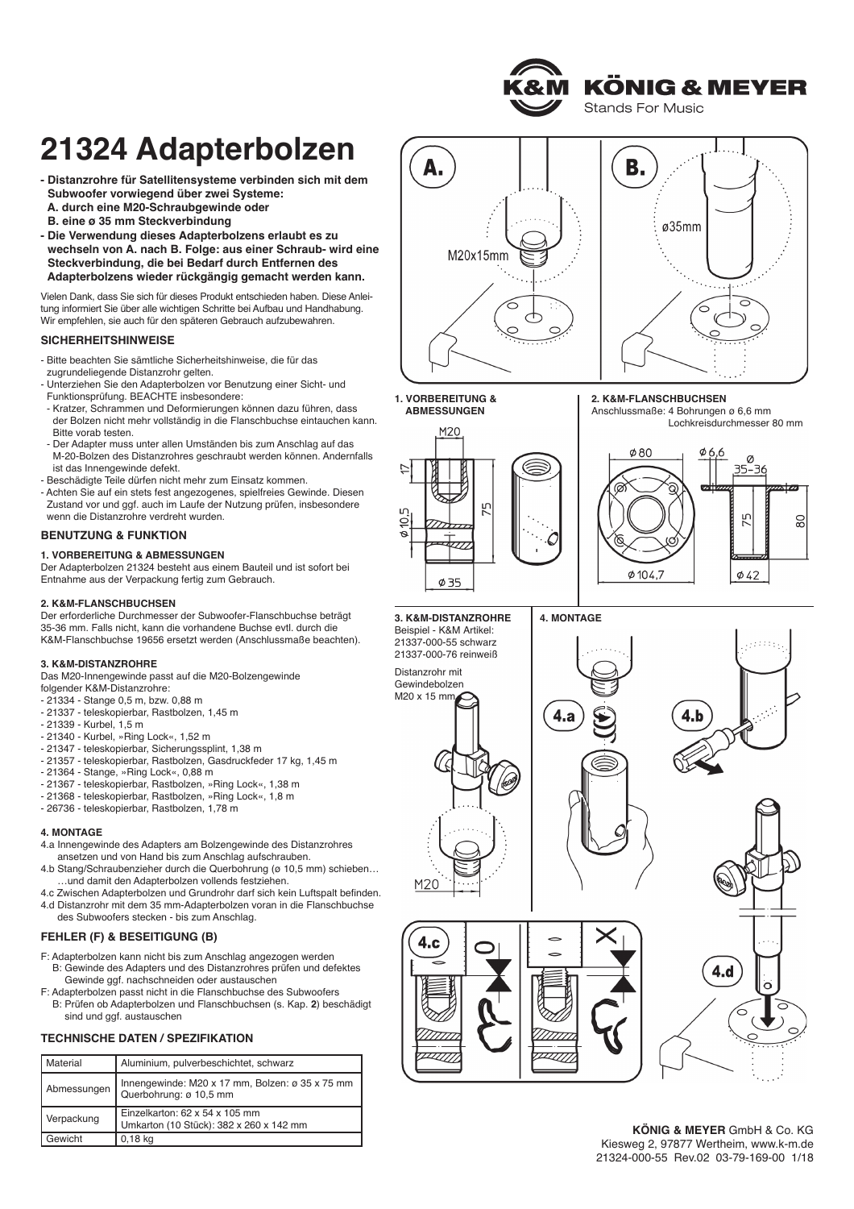**KÖNIG & MEYER Stands For Music** 

# **21324 Adapterbolzen**

- **Distanzrohre für Satellitensysteme verbinden sich mit dem - Subwoofer vorwiegend über zwei Systeme:**
- **- A. durch eine M20-Schraubgewinde oder - B. eine ø 35 mm Steckverbindung**
- **Die Verwendung dieses Adapterbolzens erlaubt es zu**
- **- wechseln von A. nach B. Folge: aus einer Schraub- wird eine - Steckverbindung, die bei Bedarf durch Entfernen des - Adapterbolzens wieder rückgängig gemacht werden kann.**

Vielen Dank, dass Sie sich für dieses Produkt entschieden haben. Diese Anlei tung informiert Sie über alle wich tigen Schritte bei Aufbau und Handhabung. Wir empfehlen, sie auch für den späteren Gebrauch aufzubewahren.

## **SICHERHEITSHINWEISE**

- Bitte beachten Sie sämtliche Sicherheitshinweise, die für das zugrundeliegende Distanzrohr gelten.
- Unterziehen Sie den Adapterbolzen vor Benutzung einer Sicht- und - Funktionsprüfung. BEACHTE insbesondere:
- Kratzer, Schrammen und Deformierungen können dazu führen, dass der Bolzen nicht mehr vollständig in die Flanschbuchse eintauchen kann. Bitte vorab testen.
- Der Adapter muss unter allen Umständen bis zum Anschlag auf das M-20-Bolzen des Distanzrohres geschraubt werden können. Andernfalls ist das Innengewinde defekt.
- Beschädigte Teile dürfen nicht mehr zum Einsatz kommen.
- Achten Sie auf ein stets fest angezogenes, spielfreies Gewinde. Diesen Zustand vor und ggf. auch im Laufe der Nutzung prüfen, insbesondere wenn die Distanzrohre verdreht wurden.

### **BENUTZUNG & FUNKTION**

### **1. VORBEREITUNG & ABMESSUNGEN**

Der Adapterbolzen 21324 besteht aus einem Bauteil und ist sofort bei Entnahme aus der Verpackung fertig zum Gebrauch.

### **2. K&M-FLANSCHBUCHSEN**

Der erforderliche Durchmesser der Subwoofer-Flanschbuchse beträgt 35-36 mm. Falls nicht, kann die vorhandene Buchse evtl. durch die K&M-Flanschbuchse 19656 ersetzt werden (Anschlussmaße beachten).

### **3. K&M-DISTANZROHRE**

Das M20-Innengewinde passt auf die M20-Bolzengewinde folgender K&M-Distanzrohre:

- 21334 Stange 0,5 m, bzw. 0,88 m
- 21337 teleskopierbar, Rastbolzen, 1,45 m
- 21339 Kurbel, 1,5 m
- 21340 Kurbel, »Ring Lock«, 1,52 m
- 21347 teleskopierbar, Sicherungssplint, 1,38 m
- 21357 teleskopierbar, Rastbolzen, Gasdruckfeder 17 kg, 1,45 m
- 21364 Stange, »Ring Lock«, 0,88 m
- 21367 teleskopierbar, Rastbolzen, »Ring Lock«, 1,38 m
- 21368 teleskopierbar, Rastbolzen, »Ring Lock«, 1,8 m
- 26736 teleskopierbar, Rastbolzen, 1,78 m

### **4. MONTAGE**

- 4.a Innengewinde des Adapters am Bolzengewinde des Distanzrohres ansetzen und von Hand bis zum Anschlag aufschrauben.
- 4.b Stang/Schraubenzieher durch die Querbohrung (ø 10,5 mm) schieben… .und damit den Adapterbolzen vollends festziehen.
- 4.c Zwischen Adapterbolzen und Grundrohr darf sich kein Luftspalt befinden. 4.d Distanzrohr mit dem 35 mm-Adapterbolzen voran in die Flanschbuchse
- des Subwoofers stecken bis zum Anschlag.

# **FEHLER (F) & BESEITIGUNG (B)**

- F: Adapterbolzen kann nicht bis zum Anschlag angezogen werden F: B: Gewinde des Adapters und des Distanzrohres prüfen und defektes Gewinde ggf. nachschneiden oder austauschen
- F: Adapterbolzen passt nicht in die Flanschbuchse des Subwoofers F: B: Prüfen ob Adapterbolzen und Flanschbuchsen (s. Kap. **2**) beschädigt sind und ggf. austauschen

## **TECHNISCHE DATEN / SPEZIFIKATION**

| Material    | Aluminium, pulverbeschichtet, schwarz                                                 |
|-------------|---------------------------------------------------------------------------------------|
| Abmessungen | Innengewinde: M20 x 17 mm, Bolzen: ø 35 x 75 mm<br>Querbohrung: ø 10,5 mm             |
| Verpackung  | Einzelkarton: $62 \times 54 \times 105$ mm<br>Umkarton (10 Stück): 382 x 260 x 142 mm |
| Gewicht     | $0.18$ kg                                                                             |





#### **1. VORBEREITUNG & 1. ABMESSUNGEN**





Lochkreisdurchmesser 80 mm



**3. K&M-DISTANZROHRE** Beispiel - K&M Artikel: 21337-000-55 schwarz 21337-000-76 reinweiß

Distanzrohr mit Gewindebolzen M20 x 15 mm

 $M20$ 

4.c

 $\overline{1}$ 







**KÖNIG & MEYER** GmbH & Co. KG Kiesweg 2, 97877 Wertheim, www.k-m.de 21324-000-55 Rev.02 03-79-169-00 1/18







**4. MONTAGE**